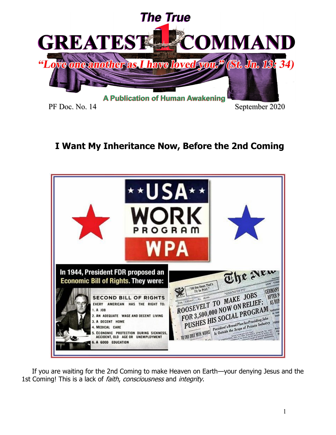

# **I Want My Inheritance Now, Before the 2nd Coming**



 If you are waiting for the 2nd Coming to make Heaven on Earth—your denying Jesus and the 1st Coming! This is a lack of *faith, consciousness* and *integrity*.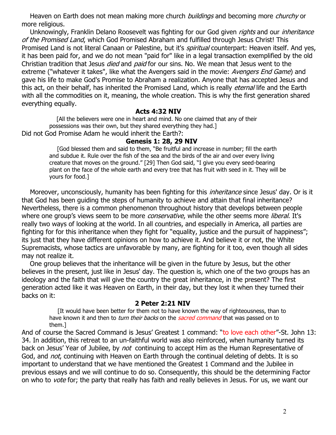Heaven on Earth does not mean making more church *buildings* and becoming more *churchy* or more religious.

Unknowingly, Franklin Delano Roosevelt was fighting for our God given *rights* and our *inheritance* of the Promised Land, which God Promised Abraham and fulfilled through Jesus Christ! This Promised Land is not literal Canaan or Palestine, but it's *spiritual* counterpart: Heaven itself. And yes, it has been paid for, and we do not mean "paid for" like in a legal transaction exemplified by the old Christian tradition that Jesus *died* and *paid* for our sins. No. We mean that Jesus went to the extreme ("whatever it takes", like what the Avengers said in the movie: Avengers End Game) and gave his life to make God's Promise to Abraham a realization. Anyone that has accepted Jesus and this act, on their behalf, has inherited the Promised Land, which is really *eternal* life and the Earth with all the commodities on it, meaning, the whole creation. This is why the first generation shared everything equally.

## **Acts 4:32 NIV**

 [All the believers were one in heart and mind. No one claimed that any of their possessions was their own, but they shared everything they had.] Did not God Promise Adam he would inherit the Earth?:

# **Genesis 1: 28, 29 NIV**

 [God blessed them and said to them, "Be fruitful and increase in number; fill the earth and subdue it. Rule over the fish of the sea and the birds of the air and over every living creature that moves on the ground." [29] Then God said, "I give you every seed-bearing plant on the face of the whole earth and every tree that has fruit with seed in it. They will be yours for food.]

Moreover, unconsciously, humanity has been fighting for this *inheritance* since Jesus' day. Or is it that God has been guiding the steps of humanity to achieve and attain that final inheritance? Nevertheless, there is a common phenomenon throughout history that develops between people where one group's views seem to be more *conservative*, while the other seems more *liberal*. It's really two ways of looking at the world. In all countries, and especially in America, all parties are fighting for for this inheritance when they fight for "equality, justice and the pursuit of happiness"; its just that they have different opinions on how to achieve it. And believe it or not, the White Supremacists, whose tactics are unfavorable by many, are fighting for it too, even though all sides may not realize it.

 One group believes that the inheritance will be given in the future by Jesus, but the other believes in the present, just like in Jesus' day. The question is, which one of the two groups has an ideology and the faith that will give the country the great inheritance, in the present? The first generation acted like it was Heaven on Earth, in their day, but they lost it when they turned their backs on it:

#### **2 Peter 2:21 NIV**

 [It would have been better for them not to have known the way of righteousness, than to have known it and then to turn their backs on the sacred command that was passed on to them.]

And of course the Sacred Command is Jesus' Greatest 1 command: "to love each other"-St. John 13: 34. In addition, this retreat to an un-faithful world was also reinforced, when humanity turned its back on Jesus' Year of Jubilee, by not continuing to accept Him as the Human Representative of God, and *not*, continuing with Heaven on Earth through the continual deleting of debts. It is so important to understand that we have mentioned the Greatest 1 Command and the Jubilee in previous essays and we will continue to do so. Consequently, this should be the determining Factor on who to vote for; the party that really has faith and really believes in Jesus. For us, we want our